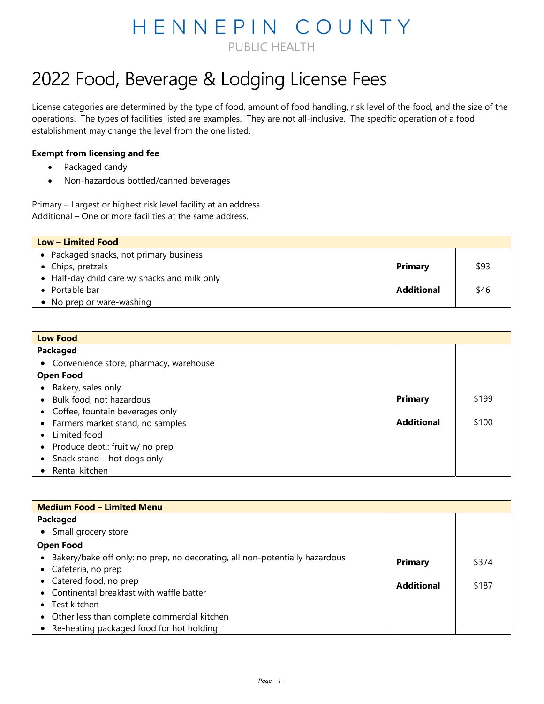## HENNEPIN COUNTY PUBLIC HEALTH

## 2022 Food, Beverage & Lodging License Fees

License categories are determined by the type of food, amount of food handling, risk level of the food, and the size of the operations. The types of facilities listed are examples. They are not all-inclusive. The specific operation of a food establishment may change the level from the one listed.

## **Exempt from licensing and fee**

- Packaged candy
- Non-hazardous bottled/canned beverages

Primary – Largest or highest risk level facility at an address. Additional – One or more facilities at the same address.

| Low – Limited Food                            |                   |      |
|-----------------------------------------------|-------------------|------|
| • Packaged snacks, not primary business       |                   |      |
| • Chips, pretzels                             | <b>Primary</b>    | \$93 |
| • Half-day child care w/ snacks and milk only |                   |      |
| • Portable bar                                | <b>Additional</b> | \$46 |
| • No prep or ware-washing                     |                   |      |

| <b>Low Food</b>                          |                   |       |
|------------------------------------------|-------------------|-------|
| Packaged                                 |                   |       |
| • Convenience store, pharmacy, warehouse |                   |       |
| <b>Open Food</b>                         |                   |       |
| Bakery, sales only<br>$\bullet$          |                   |       |
| • Bulk food, not hazardous               | <b>Primary</b>    | \$199 |
| • Coffee, fountain beverages only        |                   |       |
| • Farmers market stand, no samples       | <b>Additional</b> | \$100 |
| Limited food<br>$\bullet$                |                   |       |
| • Produce dept.: fruit w/ no prep        |                   |       |
| • Snack stand $-$ hot dogs only          |                   |       |
| Rental kitchen<br>$\bullet$              |                   |       |

| <b>Medium Food - Limited Menu</b>                                             |                   |       |
|-------------------------------------------------------------------------------|-------------------|-------|
| Packaged                                                                      |                   |       |
| • Small grocery store                                                         |                   |       |
| <b>Open Food</b>                                                              |                   |       |
| • Bakery/bake off only: no prep, no decorating, all non-potentially hazardous | <b>Primary</b>    | \$374 |
| • Cafeteria, no prep                                                          |                   |       |
| • Catered food, no prep                                                       | <b>Additional</b> | \$187 |
| • Continental breakfast with waffle batter                                    |                   |       |
| $\bullet$ Test kitchen                                                        |                   |       |
| • Other less than complete commercial kitchen                                 |                   |       |
| • Re-heating packaged food for hot holding                                    |                   |       |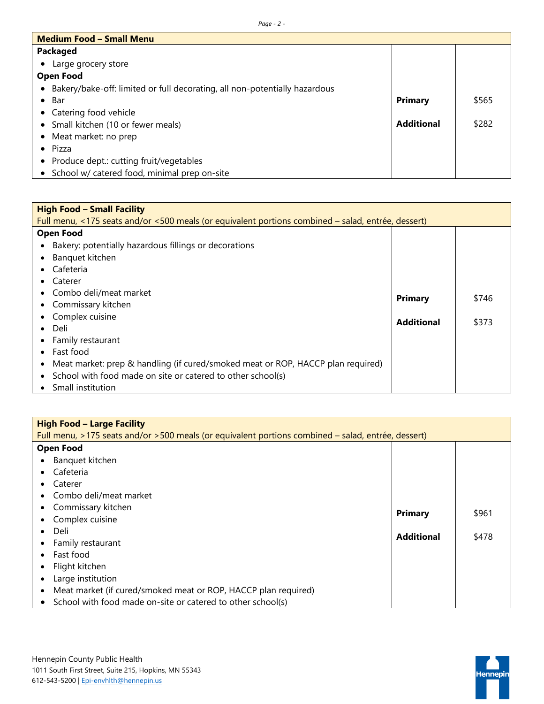| <b>Medium Food - Small Menu</b>                                                         |                   |       |
|-----------------------------------------------------------------------------------------|-------------------|-------|
| Packaged                                                                                |                   |       |
| Large grocery store                                                                     |                   |       |
| <b>Open Food</b>                                                                        |                   |       |
| Bakery/bake-off: limited or full decorating, all non-potentially hazardous<br>$\bullet$ |                   |       |
| Bar<br>$\bullet$                                                                        | <b>Primary</b>    | \$565 |
| • Catering food vehicle                                                                 |                   |       |
| • Small kitchen (10 or fewer meals)                                                     | <b>Additional</b> | \$282 |
| • Meat market: no prep                                                                  |                   |       |
| $\bullet$ Pizza                                                                         |                   |       |
| Produce dept.: cutting fruit/vegetables<br>$\bullet$                                    |                   |       |
| • School w/ catered food, minimal prep on-site                                          |                   |       |

| <b>High Food - Small Facility</b>                                                                  |                   |       |
|----------------------------------------------------------------------------------------------------|-------------------|-------|
| Full menu, <175 seats and/or <500 meals (or equivalent portions combined – salad, entrée, dessert) |                   |       |
| <b>Open Food</b>                                                                                   |                   |       |
| Bakery: potentially hazardous fillings or decorations<br>$\bullet$                                 |                   |       |
| Banquet kitchen                                                                                    |                   |       |
| Cafeteria<br>$\bullet$                                                                             |                   |       |
| Caterer<br>$\bullet$                                                                               |                   |       |
| Combo deli/meat market<br>$\bullet$                                                                | Primary           | \$746 |
| • Commissary kitchen                                                                               |                   |       |
| Complex cuisine<br>$\bullet$                                                                       | <b>Additional</b> | \$373 |
| Deli<br>$\bullet$                                                                                  |                   |       |
| Family restaurant<br>$\bullet$                                                                     |                   |       |
| Fast food<br>$\bullet$                                                                             |                   |       |
| Meat market: prep & handling (if cured/smoked meat or ROP, HACCP plan required)<br>$\bullet$       |                   |       |
| School with food made on site or catered to other school(s)<br>$\bullet$                           |                   |       |
| Small institution<br>$\bullet$                                                                     |                   |       |

| <b>High Food - Large Facility</b>                                                                  |                   |       |
|----------------------------------------------------------------------------------------------------|-------------------|-------|
| Full menu, >175 seats and/or >500 meals (or equivalent portions combined - salad, entrée, dessert) |                   |       |
| <b>Open Food</b>                                                                                   |                   |       |
| • Banquet kitchen                                                                                  |                   |       |
| Cafeteria<br>$\bullet$                                                                             |                   |       |
| Caterer<br>$\bullet$                                                                               |                   |       |
| • Combo deli/meat market                                                                           |                   |       |
| • Commissary kitchen                                                                               | Primary           | \$961 |
| Complex cuisine<br>$\bullet$                                                                       |                   |       |
| Deli<br>$\bullet$                                                                                  | <b>Additional</b> | \$478 |
| Family restaurant<br>$\bullet$                                                                     |                   |       |
| Fast food<br>$\bullet$                                                                             |                   |       |
| • Flight kitchen                                                                                   |                   |       |
| Large institution<br>$\bullet$                                                                     |                   |       |
| Meat market (if cured/smoked meat or ROP, HACCP plan required)<br>$\bullet$                        |                   |       |
| • School with food made on-site or catered to other school(s)                                      |                   |       |